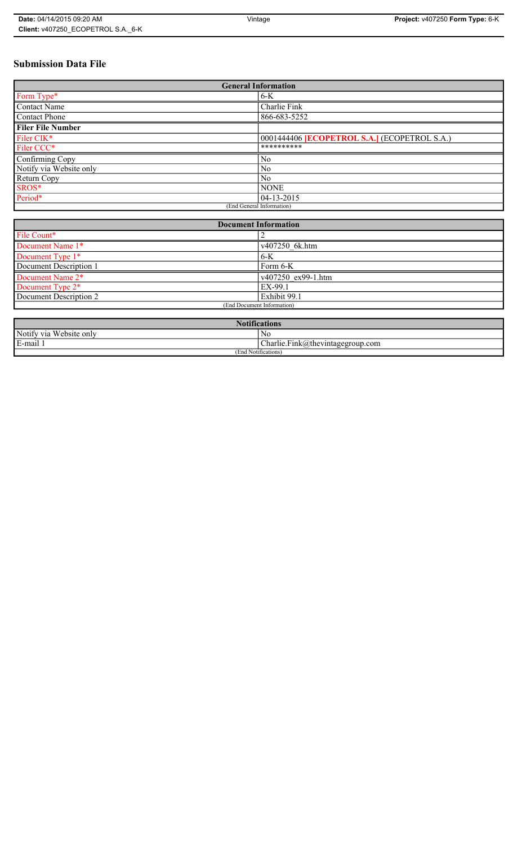# **Submission Data File**

| <b>General Information</b> |                                                     |
|----------------------------|-----------------------------------------------------|
| Form Type*                 | $6 - K$                                             |
| <b>Contact Name</b>        | Charlie Fink                                        |
| <b>Contact Phone</b>       | 866-683-5252                                        |
| <b>Filer File Number</b>   |                                                     |
| Filer CIK*                 | 0001444406 <b>[ECOPETROL S.A.]</b> (ECOPETROL S.A.) |
| Filer CCC*                 | **********                                          |
| Confirming Copy            | N <sub>0</sub>                                      |
| Notify via Website only    | N <sub>0</sub>                                      |
| Return Copy                | N <sub>0</sub>                                      |
| SROS*                      | <b>NONE</b>                                         |
| Period*                    | 04-13-2015                                          |
| (End General Information)  |                                                     |

| <b>Document Information</b>  |                    |
|------------------------------|--------------------|
| File Count*                  |                    |
| Document Name 1*             | v407250 6k.htm     |
| Document Type 1*             | 6-K                |
| Document Description 1       | Form 6-K           |
| Document Name 2*             | v407250 ex99-1.htm |
| Document Type 2 <sup>*</sup> | EX-99.1            |
| Document Description 2       | Exhibit 99.1       |
| (End Document Information)   |                    |
|                              |                    |

| <b>Notifications</b>         |                                  |
|------------------------------|----------------------------------|
| Notify via<br>U Website only | No                               |
| E-mail                       | Charlie.Fink@thevintagegroup.com |
| (End Notifications)          |                                  |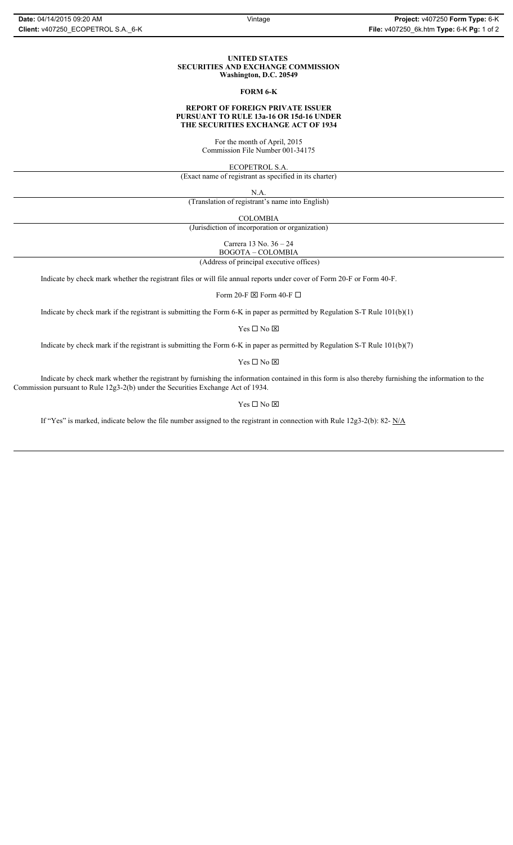#### **UNITED STATES SECURITIES AND EXCHANGE COMMISSION Washington, D.C. 20549**

#### **FORM 6-K**

### **REPORT OF FOREIGN PRIVATE ISSUER PURSUANT TO RULE 13a-16 OR 15d-16 UNDER THE SECURITIES EXCHANGE ACT OF 1934**

For the month of April, 2015 Commission File Number 001-34175

ECOPETROL S.A.

(Exact name of registrant as specified in its charter)

N.A.

(Translation of registrant's name into English)

COLOMBIA

(Jurisdiction of incorporation or organization)

Carrera 13 No. 36 – 24 BOGOTA – COLOMBIA

(Address of principal executive offices)

Indicate by check mark whether the registrant files or will file annual reports under cover of Form 20-F or Form 40-F.

Form 20-F  $\boxtimes$  Form 40-F  $\Box$ 

Indicate by check mark if the registrant is submitting the Form 6-K in paper as permitted by Regulation S-T Rule 101(b)(1)

Yes $\Box$  No  $\boxtimes$ 

Indicate by check mark if the registrant is submitting the Form 6-K in paper as permitted by Regulation S-T Rule 101(b)(7)

Yes $\Box$  No  $\boxtimes$ 

Indicate by check mark whether the registrant by furnishing the information contained in this form is also thereby furnishing the information to the Commission pursuant to Rule 12g3-2(b) under the Securities Exchange Act of 1934.

### Yes $\Box$  No  $\boxtimes$

If "Yes" is marked, indicate below the file number assigned to the registrant in connection with Rule 12g3-2(b): 82- N/A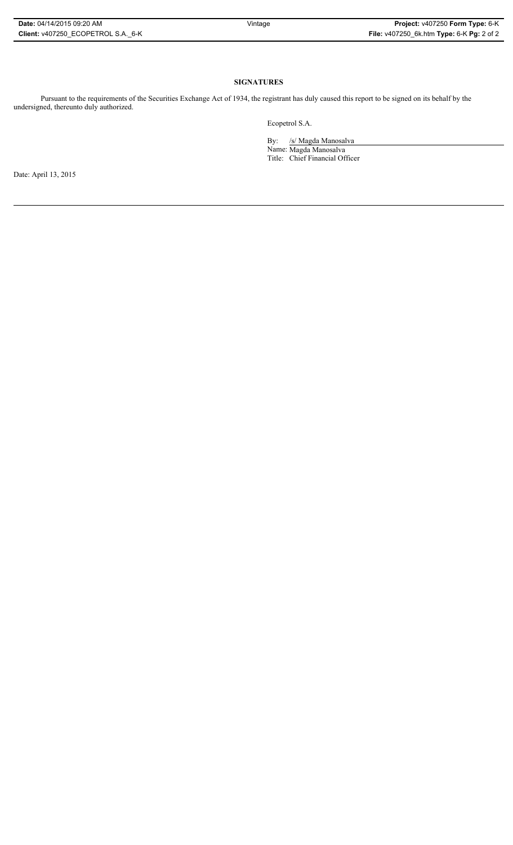### **SIGNATURES**

Pursuant to the requirements of the Securities Exchange Act of 1934, the registrant has duly caused this report to be signed on its behalf by the undersigned, thereunto duly authorized.

Ecopetrol S.A.

By: /s/ Magda Manosalva Name: Magda Manosalva Title: Chief Financial Officer

Date: April 13, 2015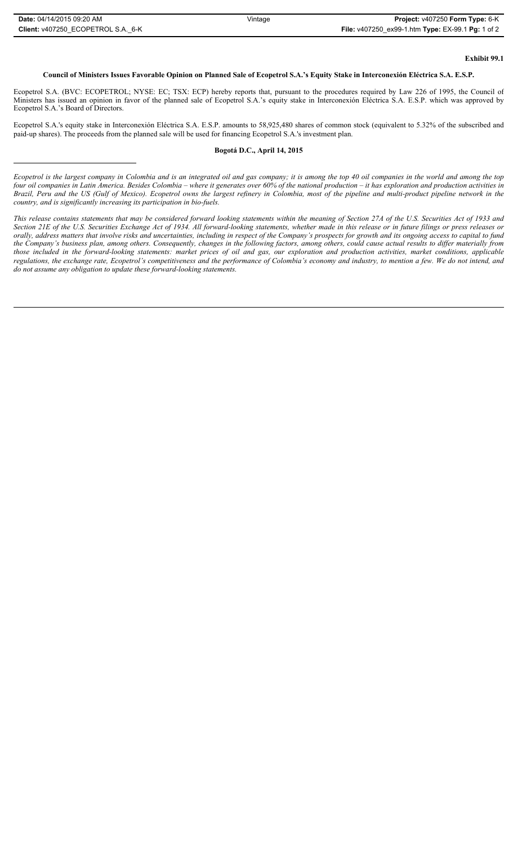# **Exhibit 99.1**

## **Council of Ministers Issues Favorable Opinion on Planned Sale of Ecopetrol S.A.'s Equity Stake in Interconexión Eléctrica S.A. E.S.P.**

Ecopetrol S.A. (BVC: ECOPETROL; NYSE: EC; TSX: ECP) hereby reports that, pursuant to the procedures required by Law 226 of 1995, the Council of Ministers has issued an opinion in favor of the planned sale of Ecopetrol S.A.'s equity stake in Interconexión Eléctrica S.A. E.S.P. which was approved by Ecopetrol S.A.'s Board of Directors.

Ecopetrol S.A.'s equity stake in Interconexión Eléctrica S.A. E.S.P. amounts to 58,925,480 shares of common stock (equivalent to 5.32% of the subscribed and paid-up shares). The proceeds from the planned sale will be used for financing Ecopetrol S.A.'s investment plan.

### **Bogotá D.C., April 14, 2015**

*Ecopetrol is the largest company in Colombia and is an integrated oil and gas company; it is among the top 40 oil companies in the world and among the top four oil companies in Latin America. Besides Colombia – where it generates over 60% of the national production – it has exploration and production activities in Brazil, Peru and the US (Gulf of Mexico). Ecopetrol owns the largest refinery in Colombia, most of the pipeline and multi-product pipeline network in the country, and is significantly increasing its participation in bio-fuels.* 

*This release contains statements that may be considered forward looking statements within the meaning of Section 27A of the U.S. Securities Act of 1933 and Section 21E of the U.S. Securities Exchange Act of 1934. All forward-looking statements, whether made in this release or in future filings or press releases or orally, address matters that involve risks and uncertainties, including in respect of the Company's prospects for growth and its ongoing access to capital to fund the Company's business plan, among others. Consequently, changes in the following factors, among others, could cause actual results to differ materially from those included in the forward-looking statements: market prices of oil and gas, our exploration and production activities, market conditions, applicable regulations, the exchange rate, Ecopetrol's competitiveness and the performance of Colombia's economy and industry, to mention a few. We do not intend, and do not assume any obligation to update these forward-looking statements.*